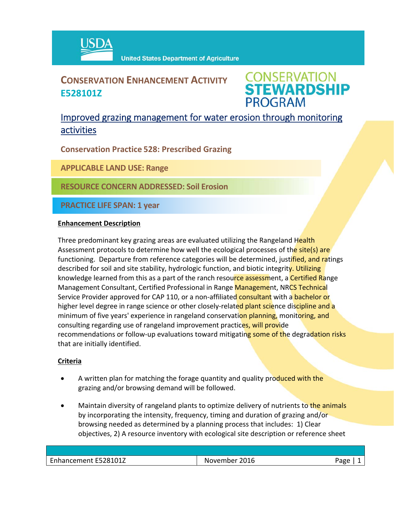

## **CONSERVATION ENHANCEMENT ACTIVITY E528101Z**

**CONSERVATION<br>STEWARDSHIP PROGRAM** 

### Improved grazing management for water erosion through monitoring activities

**Conservation Practice 528: Prescribed Grazing**

**APPLICABLE LAND USE: Range**

**RESOURCE CONCERN ADDRESSED: Soil Erosion**

**PRACTICE LIFE SPAN: 1 year**

#### **Enhancement Description**

Three predominant key grazing areas are evaluated utilizing the Rangeland Health Assessment protocols to determine how well the ecological processes of the site(s) are functioning. Departure from reference categories will be determined, justified, and ratings described for soil and site stability, hydrologic function, and biotic integrity. Utilizing knowledge learned from this as a part of the ranch resource assessment, a Certified Range Management Consultant, Certified Professional in Range Management, NRCS Technical Service Provider approved for CAP 110, or a non-affiliated consultant with a bachelor or higher level degree in range science or other closely-related plant science discipline and a minimum of five years' experience in rangeland conservation planning, monitoring, and consulting regarding use of rangeland improvement practices, will provide recommendations or follow-up evaluations toward mitigating some of the degradation risks that are initially identified.

#### **Criteria**

- A written plan for matching the forage quantity and quality produced with the grazing and/or browsing demand will be followed.
- Maintain diversity of rangeland plants to optimize delivery of nutrients to the animals by incorporating the intensity, frequency, timing and duration of grazing and/or browsing needed as determined by a planning process that includes: 1) Clear objectives, 2) A resource inventory with ecological site description or reference sheet

| Enhancement E528101Z | 2016<br>nvemher i | - הסבי |
|----------------------|-------------------|--------|
|                      |                   |        |